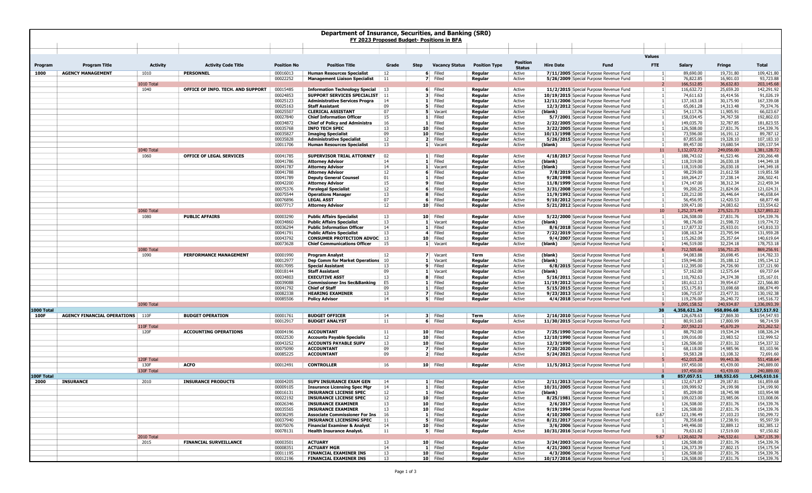|             |                                         |                    |                                   |                      | Department of Insurance, Securities, and Banking (SR0)                    |                |             | FY 2023 Proposed Budget- Positions in BFA |                      |                           |                  |                                                                                  |                |                            |                         |                            |
|-------------|-----------------------------------------|--------------------|-----------------------------------|----------------------|---------------------------------------------------------------------------|----------------|-------------|-------------------------------------------|----------------------|---------------------------|------------------|----------------------------------------------------------------------------------|----------------|----------------------------|-------------------------|----------------------------|
|             |                                         |                    |                                   |                      |                                                                           |                |             |                                           |                      |                           |                  |                                                                                  | <b>Values</b>  |                            |                         |                            |
| Program     | <b>Program Title</b>                    | <b>Activity</b>    | <b>Activity Code Title</b>        | <b>Position No</b>   | <b>Position Title</b>                                                     | Grade          | <b>Step</b> | <b>Vacancy Status</b>                     | <b>Position Type</b> | Position<br><b>Status</b> | <b>Hire Date</b> | Fund                                                                             | <b>FTE</b>     | <b>Salary</b>              | Fringe                  | Total                      |
| 1000        | <b>AGENCY MANAGEMENT</b>                | 1010               | <b>PERSONNEL</b>                  | 00016013<br>00022252 | <b>Human Resources Specialist</b><br><b>Management Liaison Specialist</b> | 12<br>11       |             | 6 Filled<br>7 Filled                      | Regular<br>Regular   | Active<br>Active          |                  | 7/11/2005 Special Purpose Revenue Fund<br>5/26/2009 Special Purpose Revenue Fund | $\mathbf{1}$   | 89,690.00<br>76,822.85     | 19,731.80<br>16,901.03  | 109,421.80<br>93,723.88    |
|             |                                         | 1010 Total         |                                   |                      |                                                                           |                |             |                                           |                      |                           |                  |                                                                                  |                | 166,512.85                 | 36,632.83               | 203,145.68                 |
|             |                                         | 1040               | OFFICE OF INFO. TECH. AND SUPPORT | 00015485             | <b>Information Technology Special</b>                                     | 13             |             | 6 Filled                                  | Regular              | Active                    |                  | 11/2/2015 Special Purpose Revenue Fund                                           |                | 116,632.72                 | 25,659.20               | 142,291.92                 |
|             |                                         |                    |                                   | 00024853             | SUPPORT SERVICES SPECIALIST                                               | 11             |             | 3 Filled                                  | Regular              | Active                    |                  | 10/19/2015 Special Purpose Revenue Fund                                          |                | 74,611.63                  | 16,414.56               | 91,026.19                  |
|             |                                         |                    |                                   | 00025123             | <b>Administrative Services Progra</b><br><b>Staff Assistant</b>           | 14             |             | $1$ Filled                                | Regular              | Active                    |                  | 12/11/2006 Special Purpose Revenue Fund                                          |                | 137,163.18                 | 30,175.90               | 167,339.08                 |
|             |                                         |                    |                                   | 00025163<br>00025507 | <b>CLERICAL ASSISTANT</b>                                                 | 09<br>07       |             | 5 Filled<br>5 Vacant                      | Regular<br>Regular   | Active<br>Active          | (blank)          | 12/3/2012 Special Purpose Revenue Fund<br>Special Purpose Revenue Fund           |                | 65,061.28<br>54,117.76     | 14,313.48<br>11,905.91  | 79,374.76<br>66,023.67     |
|             |                                         |                    |                                   | 00027840             | <b>Chief Information Officer</b>                                          | 15             |             | 1 Filled                                  | Regular              | Active                    |                  | 5/7/2001 Special Purpose Revenue Fund                                            |                | 158,034.45                 | 34,767.58               | 192,802.03                 |
|             |                                         |                    |                                   | 00034872             | <b>Chief of Policy and Administra</b>                                     | 16             |             | 1 Filled                                  | Regular              | Active                    |                  | 2/22/2005 Special Purpose Revenue Fund                                           |                | 149,035.70                 | 32,787.85               | 181,823.55                 |
|             |                                         |                    |                                   | 00035768             | <b>INFO TECH SPEC</b>                                                     | 13             |             | 10<br>Filled                              | Regular              | Active                    |                  | 3/22/2005 Special Purpose Revenue Fund                                           |                | 126,508.00                 | 27,831.76               | 154,339.76                 |
|             |                                         |                    |                                   | 00035827             | <b>Imaging Specialist</b>                                                 | 09             |             | 10 Filled                                 | Regular              | Active                    |                  | 10/13/1998 Special Purpose Revenue Fund                                          |                | 73,596.00                  | 16,191.12               | 89,787.12                  |
|             |                                         |                    |                                   | 00035828<br>10011706 | <b>Administrative Specialist</b><br><b>Human Resources Specialist</b>     | 12<br>13       |             | 2 Filled<br>1 Vacant                      | Regular<br>Regular   | Active<br>Active          | (blank)          | 5/26/2015 Special Purpose Revenue Fund                                           | -1             | 87,855.00<br>89,457.00     | 19,328.10<br>19,680.54  | 107,183.10<br>109,137.54   |
|             |                                         | 1040 Total         |                                   |                      |                                                                           |                |             |                                           |                      |                           |                  | Special Purpose Revenue Fund                                                     | 11             | 1,132,072.72               | 249,056.00              | 1,381,128.72               |
|             |                                         | 1060               | OFFICE OF LEGAL SERVICES          | 00041785             | SUPERVISOR TRIAL ATTORNEY                                                 | 02             |             | 1 Filled                                  | Regular              | Active                    |                  | 4/18/2017 Special Purpose Revenue Fund                                           | $\vert$ 1      | 188,743.02                 | 41,523.46               | 230,266.48                 |
|             |                                         |                    |                                   | 00041786             | <b>Attorney Advisor</b>                                                   | 14             |             | $1$ Filled                                | Regular              | Active                    | (blank)          | Special Purpose Revenue Fund                                                     |                | 118,319.00                 | 26,030.18               | 144,349.18                 |
|             |                                         |                    |                                   | 00041787             | <b>Attorney Advisor</b>                                                   | 14             |             | 1 Vacant                                  | Regular              | Active                    | (blank)          | Special Purpose Revenue Fund                                                     |                | 118,319.00                 | 26,030.18               | 144,349.18                 |
|             |                                         |                    |                                   | 00041788             | <b>Attorney Advisor</b>                                                   | 12             |             | 6 Filled                                  | Regular              | Active                    |                  | 7/8/2019 Special Purpose Revenue Fund                                            |                | 98,239.00                  | 21,612.58               | 119,851.58                 |
|             |                                         |                    |                                   | 00041789<br>00042200 | <b>Deputy General Counsel</b>                                             | 01<br>15       |             | $1$ Filled                                | Regular              | Active                    |                  | 9/28/1998 Special Purpose Revenue Fund                                           |                | 169,264.27<br>174,147.00   | 37,238.14<br>38,312.34  | 206,502.41<br>212,459.34   |
|             |                                         |                    |                                   | 00075376             | <b>Attorney Advisor</b><br><b>Paralegal Specialist</b>                    | 12             |             | 9 Filled<br>6 Filled                      | Regular<br>Regular   | Active<br>Active          |                  | 11/8/1999 Special Purpose Revenue Fund<br>3/31/2008 Special Purpose Revenue Fund |                | 99,200.25                  | 21,824.06               | 121,024.31                 |
|             |                                         |                    |                                   | 00075544             | <b>Operations Manager</b>                                                 | 13             |             | 8 Filled                                  | Regular              | Active                    |                  | 11/9/1992 Special Purpose Revenue Fund                                           |                | 120,212.00                 | 26,446.64               | 146,658.64                 |
|             |                                         |                    |                                   | 00076896             | <b>LEGAL ASST</b>                                                         | 07             |             | 6 Filled                                  | Regular              | Active                    |                  | 9/10/2012 Special Purpose Revenue Fund                                           |                | 56,456.95                  | 12,420.53               | 68,877.48                  |
|             |                                         |                    |                                   | 00077717             | <b>Attorney Advisor</b>                                                   | 12             |             | 10 Filled                                 | Regular              | Active                    |                  | 5/21/2012 Special Purpose Revenue Fund                                           | -1             | 109,471.00                 | 24,083.62               | 133,554.62                 |
|             |                                         | 1060 Total         |                                   |                      |                                                                           |                |             |                                           |                      |                           |                  |                                                                                  | 10             | 1,252,371.49               | 275,521.73              | 1,527,893.22               |
|             |                                         | 1080               | <b>PUBLIC AFFAIRS</b>             | 00003290<br>00034860 | <b>Public Affairs Specialist</b><br><b>Public Affairs Specialist</b>      | 13<br>13       |             | 10 Filled<br>1 Vacant                     | Regular<br>Regular   | Active<br>Active          | (blank)          | 5/22/2000 Special Purpose Revenue Fund<br>Special Purpose Revenue Fund           | -1             | 126,508.00<br>98,176.00    | 27,831.76<br>21,598.72  | 154,339.76<br>119,774.72   |
|             |                                         |                    |                                   | 00036294             | <b>Public Information Officer</b>                                         | 14             |             | 1 Filled                                  | Regular              | Active                    |                  | 8/6/2018 Special Purpose Revenue Fund                                            |                | 117,877.32                 | 25,933.01               | 143,810.33                 |
|             |                                         |                    |                                   | 00041791             | <b>Public Affairs Specialist</b>                                          | 13             |             | Filled<br>$\overline{4}$                  | Regular              | Active                    |                  | 7/22/2019 Special Purpose Revenue Fund                                           |                | 108,163.34                 | 23,795.94               | 131,959.28                 |
|             |                                         |                    |                                   | 00043792             | <b>CONSUMER PROTECTION ADVOC</b> 13                                       |                |             | 10 Filled                                 | Regular              | Active                    |                  | 9/4/2007 Special Purpose Revenue Fund                                            |                | 115,262.00                 | 25,357.64               | 140,619.64                 |
|             |                                         |                    |                                   | 00073628             | <b>Chief Communications Officer</b>                                       | 15             |             | 1 Vacant                                  | Regular              | Active                    | (blank)          | Special Purpose Revenue Fund                                                     | 1              | 146,519.00                 | 32,234.18               | 178,753.18                 |
|             |                                         | 1080 Total<br>1090 | <b>PERFORMANCE MANAGEMENT</b>     | 00001990             |                                                                           | 12             |             | 7 Vacant                                  |                      | Active                    | (blank)          |                                                                                  |                | 712,505.66<br>94,083.88    | 156,751.25<br>20,698.45 | 869,256.91<br>114,782.33   |
|             |                                         |                    |                                   | 00012977             | <b>Program Analyst</b><br>Dep Comm for Market Operations 10               |                |             | 1 Vacant                                  | Term<br>Regular      | Active                    | (blank)          | Special Purpose Revenue Fund<br>Special Purpose Revenue Fund                     |                | 159,946.00                 | 35,188.12               | 195,134.12                 |
|             |                                         |                    |                                   | 00017095             | <b>Special Assistant</b>                                                  | 13             |             | 9 Filled                                  | Regular              | Active                    |                  | 6/8/2015 Special Purpose Revenue Fund                                            |                | 112,395.00                 | 24,726.90               | 137,121.90                 |
|             |                                         |                    |                                   | 00018144             | <b>Staff Assistant</b>                                                    | 09             |             | 1 Vacant                                  | Regular              | Active                    | (blank)          | Special Purpose Revenue Fund                                                     |                | 57,162.00                  | 12,575.64               | 69,737.64                  |
|             |                                         |                    |                                   | 00034803             | <b>EXECUTIVE ASST</b>                                                     | 13             |             | 8 Filled                                  | Regular              | Active                    |                  | 5/16/2011 Special Purpose Revenue Fund                                           |                | 110,792.63                 | 24,374.38               | 135,167.01                 |
|             |                                         |                    |                                   | 00039088             | <b>Commissioner Ins Sec&amp;Banking</b>                                   | E <sub>5</sub> |             | 1 Filled                                  | Regular              | Active                    |                  | 11/19/2012 Special Purpose Revenue Fund                                          |                | 181,612.13                 | 39,954.67               | 221,566.80                 |
|             |                                         |                    |                                   | 00041792<br>00082338 | <b>Chief of Staff</b><br><b>HEARING EXAMINER</b>                          | 09<br>13       |             | 1 Filled<br>7 Filled                      | Regular<br>Regular   | Active<br>Active          |                  | 5/15/2015 Special Purpose Revenue Fund<br>9/23/2013 Special Purpose Revenue Fund |                | 153,175.81<br>106,715.07   | 33,698.68<br>23,477.31  | 186,874.49<br>130,192.38   |
|             |                                         |                    |                                   | 00085506             | <b>Policy Advisor</b>                                                     | 14             |             | 5 Filled                                  | Regular              | Active                    |                  | 4/4/2018 Special Purpose Revenue Fund                                            |                | 119,276.00                 | 26,240.72               | 145,516.72                 |
|             |                                         | 1090 Total         |                                   |                      |                                                                           |                |             |                                           |                      |                           |                  |                                                                                  |                | 1,095,158.52               | 240,934.87              | 1,336,093.39               |
| 1000 Total  |                                         |                    |                                   |                      |                                                                           |                |             |                                           |                      |                           |                  |                                                                                  | 38             | 4,358,621.24               | 958,896.68              | 5,317,517.92               |
| <b>100F</b> | <b>AGENCY FINANCIAL OPERATIONS 110F</b> |                    | <b>BUDGET OPERATION</b>           | 00001761             | <b>BUDGET OFFICER</b>                                                     | 14             |             | 3 Filled                                  | Term                 | Active                    |                  | 2/16/2010 Special Purpose Revenue Fund                                           | $\overline{1}$ | 126,678.63                 | 27,869.30               | 154,547.93                 |
|             |                                         |                    |                                   | 00012917             | <b>BUDGET ANALYST</b>                                                     | 11             |             | 6 Filled                                  | Regular              | Active                    |                  | 11/30/2015 Special Purpose Revenue Fund                                          | $\mathbf{1}$   | 80,913.60                  | 17,800.99               | 98,714.59<br>253,262.52    |
|             |                                         | 110F Total<br>120F | <b>ACCOUNTING OPERATIONS</b>      | 00004196             | <b>ACCOUNTANT</b>                                                         | 11             |             | 10 Filled                                 | Regular              | Active                    |                  | 7/25/1990 Special Purpose Revenue Fund                                           | -1             | 207,592.23<br>88,792.00    | 45,670.29<br>19,534.24  | 108,326.24                 |
|             |                                         |                    |                                   | 00022530             | <b>Accounts Payable Specialis</b>                                         | 12             |             | 10 Filled                                 | Regular              | Active                    |                  | 12/10/1990 Special Purpose Revenue Fund                                          | $\mathbf{1}$   | 109,016.00                 | 23,983.52               | 132,999.52                 |
|             |                                         |                    |                                   | 00043252             | <b>ACCOUNTS PAYABLE SUPV</b>                                              | 13             |             | 10<br>Filled                              | Regular              | Active                    |                  | 12/3/1990 Special Purpose Revenue Fund                                           |                | 126,506.00                 | 27,831.32               | 154,337.32                 |
|             |                                         |                    |                                   | 00075090             | <b>ACCOUNTANT</b>                                                         | 09             |             | 7 Filled                                  | Regular              | Active                    |                  | 7/20/2020 Special Purpose Revenue Fund                                           |                | 68,118.00                  | 14,985.96               | 83,103.96                  |
|             |                                         |                    |                                   | 00085225             | ACCOUNTANT                                                                | 09             |             | 2 Filled                                  | Regular              | Active                    |                  | 5/24/2021 Special Purpose Revenue Fund                                           |                | 59,583.28                  | 13,108.32               | 72,691.60                  |
|             |                                         | 120F Total<br>130F | <b>ACFO</b>                       | 00012491             | <b>CONTROLLER</b>                                                         | 16             |             | 10 Filled                                 | Regular              | Active                    |                  | 11/5/2012 Special Purpose Revenue Fund                                           |                | 452,015.28<br>197,450.00   | 99,443.36<br>43,439.00  | 551,458.64<br>240,889.00   |
|             |                                         | 130F Total         |                                   |                      |                                                                           |                |             |                                           |                      |                           |                  |                                                                                  |                | 197,450.00                 | 43,439.00               | 240,889.00                 |
| 100F Total  |                                         |                    |                                   |                      |                                                                           |                |             |                                           |                      |                           |                  |                                                                                  |                | 857,057.51                 | 188,552.65              | 1,045,610.16               |
| 2000        | <b>INSURANCE</b>                        | 2010               | <b>INSURANCE PRODUCTS</b>         | 00004205             | SUPV INSURANCE EXAM GEN                                                   | 14             |             | $1$ Filled                                | Regular              | Active                    |                  | 2/11/2013 Special Purpose Revenue Fund                                           |                | 132,671.87                 | 29,187.81               | 161,859.68                 |
|             |                                         |                    |                                   | 00009105             | <b>Insurance Licensing Spec Mgr</b>                                       | 14             |             | Filled                                    | Regular              | Active                    |                  | 10/31/2005 Special Purpose Revenue Fund                                          |                | 109,999.92                 | 24,199.98               | 134,199.90                 |
|             |                                         |                    |                                   | 00016131             | <b>INSURANCE LICENSE SPEC</b>                                             | 12             |             | 1 Filled                                  | Regular              | Active                    | (blank)          | Special Purpose Revenue Fund                                                     |                | 85,209.00                  | 18,745.98               | 103,954.98                 |
|             |                                         |                    |                                   | 00022192<br>00026346 | <b>INSURANCE LICENSE SPEC</b><br><b>INSURANCE EXAMINER</b>                | 12<br>13       |             | 10 Filled<br>10 Filled                    | Regular<br>Regular   | Active<br>Active          |                  | 8/25/1981 Special Purpose Revenue Fund<br>2/6/2017 Special Purpose Revenue Fund  | $\mathbf{1}$   | 109,023.00<br>126,508.00   | 23,985.06<br>27,831.76  | 133,008.06<br>154,339.76   |
|             |                                         |                    |                                   | 00035565             | <b>INSURANCE EXAMINER</b>                                                 | 13             |             | 10 Filled                                 | Regular              | Active                    |                  | 9/19/1994 Special Purpose Revenue Fund                                           | -1             | 126,508.00                 | 27,831.76               | 154,339.76                 |
|             |                                         |                    |                                   | 00036295             | <b>Associate Commissioner For Ins</b>                                     | 16             |             | 1 Filled                                  | Regular              | Active                    |                  | 4/10/2000 Special Purpose Revenue Fund                                           | 0.67           | 123,196.49                 | 27,103.23               | 150,299.72                 |
|             |                                         |                    |                                   | 00037940             | <b>INSURANCE LICENSING SPEC</b>                                           | 11             |             | 5 Filled                                  | Regular              | Active                    |                  | 8/21/2017 Special Purpose Revenue Fund                                           | -1             | 78,358.68                  | 17,238.91               | 95,597.59                  |
|             |                                         |                    |                                   | 00075076             | <b>Financial Examiner &amp; Analyst</b>                                   | 14             |             | 10 Filled                                 | Regular              | Active                    |                  | 3/6/2006 Special Purpose Revenue Fund                                            | 1              | 149,496.00                 | 32,889.12               | 182,385.12                 |
|             |                                         |                    |                                   | 00078131             | <b>Health Insurance Analyst.</b>                                          | 11             |             | 5 Filled                                  | Regular              | Active                    |                  | 10/31/2016 Special Purpose Revenue Fund                                          | 1              | 79,631.82                  | 17,519.00               | 97,150.82                  |
|             |                                         | 2010 Total<br>2015 | <b>FINANCIAL SURVEILLANCE</b>     | 00003501             | <b>ACTUARY</b>                                                            | 13             |             | 10 Filled                                 | Regular              | Active                    |                  | 3/24/2003 Special Purpose Revenue Fund                                           | 9.67<br>1      | 1,120,602.78<br>126,508.00 | 246,532.61<br>27,831.76 | 1,367,135.39<br>154,339.76 |
|             |                                         |                    |                                   | 00008351             | <b>ACTUARY MGR</b>                                                        | 14             |             | 1 Filled                                  | Regular              | Active                    |                  | 4/21/2003 Special Purpose Revenue Fund                                           | 1              | 126,373.39                 | 27,802.15               | 154,175.54                 |
|             |                                         |                    |                                   | 00011195             | <b>FINANCIAL EXAMINER INS</b>                                             | 13             |             | 10 Filled                                 | Regular              | Active                    |                  | 4/3/2006 Special Purpose Revenue Fund                                            | $\mathbf{1}$   | 126,508.00                 | 27,831.76               | 154,339.76                 |
|             |                                         |                    |                                   | 00012196             | <b>FINANCIAL EXAMINER INS</b>                                             | 13             |             | 10 Filled                                 | Regular              | Active                    |                  | 10/17/2016 Special Purpose Revenue Fund                                          | $\overline{1}$ | 126,508.00                 | 27,831.76               | 154,339.76                 |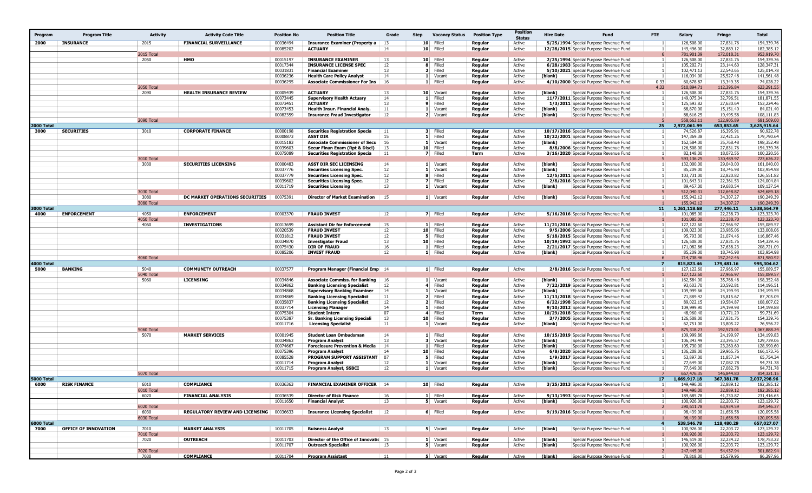| Program           | <b>Program Title</b> | <b>Activity</b>    | <b>Activity Code Title</b>             | <b>Position No</b>   | <b>Position Title</b>                                                   | Grade      | Step         | <b>Vacancy Status</b> | <b>Position Type</b> | Position<br><b>Status</b> | <b>Hire Date</b> | Fund                                                                              | <b>FTE</b>     | Salary                   | <b>Fringe</b>           | Total                     |
|-------------------|----------------------|--------------------|----------------------------------------|----------------------|-------------------------------------------------------------------------|------------|--------------|-----------------------|----------------------|---------------------------|------------------|-----------------------------------------------------------------------------------|----------------|--------------------------|-------------------------|---------------------------|
| 2000              | <b>INSURANCE</b>     | 2015               | <b>FINANCIAL SURVEILLANCE</b>          | 00036494             | <b>Insurance Examiner (Property a</b>                                   | 13         | 10           | Filled                | Regular              | Active                    |                  | 5/25/1994 Special Purpose Revenue Fund                                            |                | 126,508.00               | 27,831.76               | 154,339.76                |
|                   |                      |                    |                                        | 00085202             | <b>ACTUARY</b>                                                          | 14         |              | 10 Filled             | Regular              | Active                    |                  | 12/28/2015 Special Purpose Revenue Fund                                           |                | 149,496.00               | 32,889.12               | 182,385.12                |
|                   |                      | 2015 Total<br>2050 | нмо                                    | 00015197             | <b>INSURANCE EXAMINER</b>                                               | 13         |              | 10 Filled             | Regular              | Active                    |                  | 2/25/1994 Special Purpose Revenue Fund                                            |                | 781,901.39<br>126,508.00 | 172,018.31<br>27,831.76 | 953,919.70<br>154,339.76  |
|                   |                      |                    |                                        | 00017344             | <b>INSURANCE LICENSE SPEC</b>                                           | 12         | -8           | Filled                | Regular              | Active                    |                  | 6/28/1983 Special Purpose Revenue Fund                                            |                | 105,202.71               | 23,144.60               | 128,347.31                |
|                   |                      |                    |                                        | 00031831             | <b>Financial Examiner</b>                                               | 13         | $\mathbf{2}$ | Filled                | Regular              | Active                    |                  | 5/10/2021 Special Purpose Revenue Fund                                            |                | 102,471.13               | 22,543.65               | 125,014.78                |
|                   |                      |                    |                                        | 00036236             | <b>Health Care Poilcy Analyst</b>                                       | 14         |              | 1 Vacant              | Regular              | Active                    | (blank)          | Special Purpose Revenue Fund                                                      |                | 116,034.00               | 25,527.48               | 141,561.48                |
|                   |                      |                    |                                        | 00036295             | <b>Associate Commissioner For Ins</b>                                   | 16         |              | 1 Filled              | Regular              | Active                    |                  | 4/10/2000 Special Purpose Revenue Fund                                            | 0.33           | 60,678.87                | 13,349.35               | 74,028.22                 |
|                   |                      | 2050 Total         |                                        |                      |                                                                         |            |              |                       |                      |                           |                  |                                                                                   | 4.33           | 510,894.71               | 112,396.84              | 623,291.55                |
|                   |                      | 2090               | <b>HEALTH INSURANCE REVIEW</b>         | 00005439             | <b>ACTUARY</b>                                                          | 13         |              | 10 Vacant             | Regular              | Active                    | (blank)          | Special Purpose Revenue Fund                                                      |                | 126,508.00               | 27,831.76               | 154,339.76                |
|                   |                      |                    |                                        | 00073445             | <b>Supervisory Health Actuary</b>                                       | 14         | 1            | Filled                | Regular              | Active                    |                  | 11/7/2011 Special Purpose Revenue Fund                                            |                | 149,075.04               | 32,796.51               | 181,871.55                |
|                   |                      |                    |                                        | 00073451<br>00073453 | <b>ACTUARY</b><br><b>Health Insur. Financial Analy.</b>                 | 13<br>11   | 9            | Filled<br>1 Vacant    | Regular<br>Regular   | Active<br>Active          | (blank)          | 1/3/2011 Special Purpose Revenue Fund<br>Special Purpose Revenue Fund             |                | 125,593.82<br>68,870.00  | 27,630.64<br>15,151.40  | 153,224.46<br>84,021.40   |
|                   |                      |                    |                                        | 00082359             | <b>Insurance Fraud Investigator</b>                                     | 12         |              | 2 Vacant              | Regular              | Active                    | (blank)          | Special Purpose Revenue Fund                                                      | -1             | 88,616.25                | 19,495.58               | 108,111.83                |
|                   |                      | 2090 Total         |                                        |                      |                                                                         |            |              |                       |                      |                           |                  |                                                                                   |                | 558,663.11               | 122,905.89              | 681,569.00                |
| 2000 Total        |                      |                    |                                        |                      |                                                                         |            |              |                       |                      |                           |                  |                                                                                   | 25             | 2,972,061.99             | 653,853.65              | 3,625,915.64              |
| 3000              | <b>SECURITIES</b>    | 3010               | <b>CORPORATE FINANCE</b>               | 00000198             | <b>Securities Registration Specia</b>                                   | 11         |              | 3 Filled              | Regular              | Active                    |                  | 10/17/2016 Special Purpose Revenue Fund                                           | $\overline{1}$ | 74,526.87                | 16,395.91               | 90,922.78                 |
|                   |                      |                    |                                        | 00008873             | <b>ASST DIR</b>                                                         | 15         |              | 1 Filled              | Regular              | Active                    |                  | 10/22/2001 Special Purpose Revenue Fund                                           |                | 147,369.38               | 32,421.26               | 179,790.64                |
|                   |                      |                    |                                        | 00015183             | <b>Associate Commissioner of Secu</b>                                   | 16         |              | 1 Vacant              | Regular              | Active                    | (blank)          | Special Purpose Revenue Fund                                                      |                | 162,584.00               | 35,768.48               | 198,352.48                |
|                   |                      |                    |                                        | 00039603<br>00075089 | Secur Finan Exam (Rpt & Discl)<br><b>Securities Registration Specia</b> | 13<br>11   |              | 10 Filled<br>7 Filled | Regular<br>Term      | Active<br>Active          |                  | 8/8/2006 Special Purpose Revenue Fund<br>3/16/2020 Special Purpose Revenue Fund   | -1             | 126,508.00<br>82,148.00  | 27,831.76<br>18,072.56  | 154,339.76<br>100,220.56  |
|                   |                      | 3010 Total         |                                        |                      |                                                                         |            |              |                       |                      |                           |                  |                                                                                   |                | 593,136.25               | 130,489.97              | 723,626.22                |
|                   |                      | 3030               | <b>SECURITIES LICENSING</b>            | 00000483             | <b>ASST DIR SEC LICENSING</b>                                           | 14         |              | 1 Vacant              | Regular              | Active                    | (blank)          | Special Purpose Revenue Fund                                                      |                | 132,000.00               | 29,040.00               | 161,040.00                |
|                   |                      |                    |                                        | 00037776             | <b>Securities Licensing Spec.</b>                                       | 12         |              | 1 Vacant              | Regular              | Active                    | (blank)          | Special Purpose Revenue Fund                                                      |                | 85,209.00                | 18,745.98               | 103,954.98                |
|                   |                      |                    |                                        | 00037779             | <b>Securities Licensing Spec.</b>                                       | 12         |              | 8 Filled              | Regular              | Active                    |                  | 12/5/2011 Special Purpose Revenue Fund                                            |                | 103,731.00               | 22,820.82               | 126,551.82                |
|                   |                      |                    |                                        | 00039602             | <b>Securities Licensing Spec.</b>                                       | 12         |              | 7 Filled              | Regular              | Active                    |                  | 2/8/2016 Special Purpose Revenue Fund                                             |                | 101,643.31               | 22,361.53               | 124,004.84                |
|                   |                      |                    |                                        | 10011719             | <b>Securities Licensing</b>                                             | 13         |              | 1 Vacant              | Regular              | Active                    | (blank)          | Special Purpose Revenue Fund                                                      |                | 89,457.00                | 19,680.54               | 109,137.54                |
|                   |                      | 3030 Total<br>3080 | DC MARKET OPERATIONS SECURITIES        | 00075391             | <b>Director of Market Examination</b>                                   | 15         |              | 1 Vacant              |                      | Active                    | (blank)          |                                                                                   | $\overline{1}$ | 512,040.31<br>155,942.12 | 112,648.87<br>34,307.27 | 624,689.18<br>190,249.39  |
|                   |                      | 3080 Total         |                                        |                      |                                                                         |            |              |                       | Regular              |                           |                  | Special Purpose Revenue Fund                                                      |                | 155,942.12               | 34,307.27               | 190,249.39                |
| <b>3000 Total</b> |                      |                    |                                        |                      |                                                                         |            |              |                       |                      |                           |                  |                                                                                   | 11             | 1,261,118.68             | 277,446.11              | 1,538,564.79              |
| 4000              | <b>ENFORCEMENT</b>   | 4050               | <b>ENFORCEMENT</b>                     | 00003370             | <b>FRAUD INVEST</b>                                                     | 12         |              | 7 Filled              | Regular              | Active                    |                  | 5/16/2016 Special Purpose Revenue Fund                                            | $\overline{1}$ | 101,085.00               | 22,238.70               | 123,323.70                |
|                   |                      | 4050 Total         |                                        |                      |                                                                         |            |              |                       |                      |                           |                  |                                                                                   |                | 101,085.00               | 22,238.70               | 123,323.70                |
|                   |                      | 4060               | <b>INVESTIGATIONS</b>                  | 00013699             | <b>Assistant Dir for Enforcement</b>                                    | 15         |              | 1 Filled              | Regular              | Active                    |                  | 11/21/2016 Special Purpose Revenue Fund                                           |                | 127,122.60               | 27,966.97               | 155,089.57                |
|                   |                      |                    |                                        | 00020539             | <b>FRAUD INVEST</b>                                                     | 12         | 10           | Filled                | Regular              | Active                    |                  | 9/5/2006 Special Purpose Revenue Fund                                             |                | 109,023.00               | 23,985.06               | 133,008.06                |
|                   |                      |                    |                                        | 00031812<br>00034870 | <b>FRAUD INVEST</b>                                                     | 12<br>13   | 5.<br>10     | Filled<br>Filled      | Regular              | Active<br>Active          |                  | 5/18/2015 Special Purpose Revenue Fund                                            |                | 95,793.00<br>126,508.00  | 21,074.46<br>27,831.76  | 116,867.46<br>154,339.76  |
|                   |                      |                    |                                        | 00075430             | <b>Investigator Fraud</b><br><b>DIR OF FRAUD</b>                        | 16         |              | 1 Filled              | Regular<br>Regular   | Active                    |                  | 10/19/1992 Special Purpose Revenue Fund<br>2/21/2017 Special Purpose Revenue Fund |                | 171,082.86               | 37,638.23               | 208,721.09                |
|                   |                      |                    |                                        | 00085206             | <b>INVEST FRAUD</b>                                                     | 12         |              | 1 Filled              | Regular              | Active                    | (blank)          | Special Purpose Revenue Fund                                                      |                | 85,209.00                | 18,745.98               | 103,954.98                |
|                   |                      | 4060 Total         |                                        |                      |                                                                         |            |              |                       |                      |                           |                  |                                                                                   |                | 714,738.46               | 157,242.46              | 871,980.92                |
| 4000 Total        |                      |                    |                                        |                      |                                                                         |            |              |                       |                      |                           |                  |                                                                                   |                | 815,823.46               | 179,481.16              | 995,304.62                |
| 5000              | <b>BANKING</b>       | 5040               | <b>COMMUNITY OUTREACH</b>              | 00037577             | Program Manager (Financial Emp 14                                       |            |              | $1$ Filled            | Regular              | Active                    |                  | 2/8/2016 Special Purpose Revenue Fund                                             |                | 127,122.60               | 27,966.97               | 155,089.57                |
|                   |                      | 5040 Total         |                                        |                      |                                                                         |            |              |                       |                      |                           |                  |                                                                                   |                | 127,122.60               | 27,966.97               | 155,089.57                |
|                   |                      | 5060               | <b>LICENSING</b>                       | 00034846<br>00034862 | Associate Commiss. for Banking<br><b>Banking Licensing Specialist</b>   | 16<br>12   |              | 1 Vacant<br>4 Filled  | Regular<br>Regular   | Active<br>Active          | (blank)          | Special Purpose Revenue Fund<br>7/22/2019 Special Purpose Revenue Fund            |                | 162,584.00<br>93,603.70  | 35,768.48<br>20,592.81  | 198,352.48<br>114,196.51  |
|                   |                      |                    |                                        | 00034868             | <b>Supervisory Banking Examiner</b>                                     | 14         |              | 1 Vacant              | Regular              | Active                    | (blank)          | Special Purpose Revenue Fund                                                      |                | 109,999.66               | 24,199.93               | 134,199.59                |
|                   |                      |                    |                                        | 00034869             | <b>Banking Licensing Specialist</b>                                     | 11         |              | 2 Filled              | Regular              | Active                    |                  | 11/13/2018 Special Purpose Revenue Fund                                           |                | 71,889.42                | 15,815.67               | 87,705.09                 |
|                   |                      |                    |                                        | 00035837             | <b>Banking Licensing Specialist</b>                                     | 12         |              | 2 Filled              | Regular              | Active                    |                  | 6/22/1998 Special Purpose Revenue Fund                                            |                | 89,022.15                | 19,584.87               | 108,607.02                |
|                   |                      |                    |                                        | 00037714             | <b>Licensing Manager</b>                                                | 14         | $\mathbf{1}$ | Filled                | Regular              | Active                    |                  | 9/10/2012 Special Purpose Revenue Fund                                            |                | 109,999.90               | 24,199.98               | 134,199.88                |
|                   |                      |                    |                                        | 00075304             | <b>Student Intern</b>                                                   | 07         | 4            | Filled                | Term                 | Active                    |                  | 10/29/2018 Special Purpose Revenue Fund                                           |                | 48,960.40                | 10,771.29               | 59,731.69                 |
|                   |                      |                    |                                        | 00075387             | <b>Sr. Banking Licensing Speciali</b>                                   | 13         | 10           | Filled                | Regular              | Active                    |                  | 3/7/2005 Special Purpose Revenue Fund                                             |                | 126,508.00               | 27,831.76               | 154,339.76                |
|                   |                      | 5060 Total         |                                        | 10011716             | <b>Licensing Specialist</b>                                             | 11         |              | 1 Vacant              | Regular              | Active                    | (blank)          | Special Purpose Revenue Fund                                                      |                | 62,751.00<br>875,318.23  | 13,805.22<br>192,570.01 | 76,556.22<br>1,067,888.24 |
|                   |                      | 5070               | <b>MARKET SERVICES</b>                 | 00001945             | <b>Student Loan Ombudsman</b>                                           | 14         |              | $1$ Filled            | Regular              | Active                    |                  | 10/15/2019 Special Purpose Revenue Fund                                           |                | 109,999.86               | 24,199.97               | 134,199.83                |
|                   |                      |                    |                                        | 00034863             | Program Analyst                                                         | 13         |              | 3 Vacant              | Regular              | Active                    | (blank)          | Special Purpose Revenue Fund                                                      |                | 106,343.49               | 23,395.57               | 129,739.06                |
|                   |                      |                    |                                        | 00074667             | <b>Foreclosure Prevention &amp; Media</b>                               | 14         | 1            | Filled                | Regular              | Active                    | (blank)          | Special Purpose Revenue Fund                                                      |                | 105,730.00               | 23,260.60               | 128,990.60                |
|                   |                      |                    |                                        | 00075396             | Program Analyst                                                         | 14         | 10           | Filled                | Regular              | Active                    |                  | 6/8/2020 Special Purpose Revenue Fund                                             |                | 136,208.00               | 29,965.76               | 166,173.76                |
|                   |                      |                    |                                        | 00085528             | <b>PROGRAM SUPPORT ASSISTANT 07</b>                                     |            | 5            | Filled                | Regular              | Active                    |                  | 1/9/2017 Special Purpose Revenue Fund                                             |                | 53,897.00                | 11,857.34               | 65,754.34                 |
|                   |                      |                    |                                        | 10011714             | Program Analyst                                                         | 12         |              | 1 Vacant              | Regular              | Active                    | (blank)          | Special Purpose Revenue Fund                                                      |                | 77,649.00                | 17,082.78               | 94,731.78                 |
|                   |                      | 5070 Total         |                                        | 10011715             | Program Analyst, SSBCI                                                  | 12         |              | 1 Vacant              | Regular              | Active                    | (blank)          | Special Purpose Revenue Fund                                                      |                | 77,649.00<br>667,476.35  | 17,082.78<br>146,844.80 | 94,731.78<br>814,321.15   |
| 5000 Total        |                      |                    |                                        |                      |                                                                         |            |              |                       |                      |                           |                  |                                                                                   | 17             | 1,669,917.18             | 367,381.78              | 2,037,298.96              |
| 6000              | <b>RISK FINANCE</b>  | 6010               | <b>COMPLIANCE</b>                      | 00036363             | <b>FINANCIAL EXAMINER OFFICER</b> 14                                    |            |              | 10 Filled             | Regular              | Active                    |                  | 3/25/2013 Special Purpose Revenue Fund                                            | $\overline{1}$ | 149,496.00               | 32,889.12               | 182,385.12                |
|                   |                      | 6010 Total         |                                        |                      |                                                                         |            |              |                       |                      |                           |                  |                                                                                   |                | 149,496.00               | 32,889.12               | 182,385.12                |
|                   |                      | 6020               | <b>FINANCIAL ANALYSIS</b>              | 00036539             | <b>Director of Risk Finance</b>                                         | 16         |              | 1 Filled              | Regular              | Active                    |                  | 9/13/1993 Special Purpose Revenue Fund                                            | $\overline{1}$ | 189,685.78               | 41,730.87               | 231,416.65                |
|                   |                      |                    |                                        | 10011650             | <b>Financial Analyst</b>                                                | 13         |              | 5 Vacant              | Regular              | Active                    | (blank)          | Special Purpose Revenue Fund                                                      | 1              | 100,926.00               | 22,203.72               | 123,129.72                |
|                   |                      | 6020 Total         |                                        |                      |                                                                         |            |              |                       |                      |                           |                  |                                                                                   |                | 290,611.78               | 63,934.59               | 354,546.37                |
|                   |                      | 6030<br>6030 Total | <b>REGULATORY REVIEW AND LICENSING</b> | 00036633             | <b>Insurance Licensing Specialist</b> 12                                |            |              | 6 Filled              | Regular              | Active                    |                  | 9/19/2016 Special Purpose Revenue Fund                                            | $\overline{1}$ | 98,439.00<br>98,439.00   | 21,656.58<br>21,656.58  | 120,095.58<br>120,095.58  |
| 6000 Total        |                      |                    |                                        |                      |                                                                         |            |              |                       |                      |                           |                  |                                                                                   | $\overline{a}$ | 538,546.78               | 118,480.29              | 657,027.07                |
| 7000              | OFFICE OF INNOVATION | 7010               | <b>MARKET ANALYSIS</b>                 | 10011705             | <b>Buisness Analyst</b>                                                 | 13         |              | 5 Vacant              | Regular              | Active                    | (blank)          | Special Purpose Revenue Fund                                                      |                | 100,926.00               | 22,203.72               | 123,129.72                |
|                   |                      | 7010 Total         |                                        |                      |                                                                         |            |              |                       |                      |                           |                  |                                                                                   |                | 100,926.00               | 22,203.72               | 123,129.72                |
|                   |                      | 7020               | <b>OUTREACH</b>                        | 10011703             | Director of the Office of Innovatic 15                                  |            |              | 1 Vacant              | Regular              | Active                    | (blank)          | Special Purpose Revenue Fund                                                      |                | 146,519.00               | 32,234.22               | 178,753.22                |
|                   |                      |                    |                                        | 10011707             | <b>Outreach Specialist</b>                                              | 13         |              | 5 Vacant              | Regular              | Active                    | (blank)          | Special Purpose Revenue Fund                                                      | -1             | 100,926.00               | 22,203.72               | 123,129.72                |
|                   |                      | <b>7020 Total</b>  |                                        |                      |                                                                         |            |              |                       |                      |                           |                  |                                                                                   |                | 247,445.00               | 54,437.94               | 301,882.94                |
|                   |                      | 7030               | COMPLIANCE                             | 10011704             | Program Assistant                                                       | $\vert$ 11 |              | 5 Vacant              | Regular              | Active                    | (blank)          | Special Purpose Revenue Fund                                                      |                | 70,818.00                | 15,579.96               | 86,397.96                 |